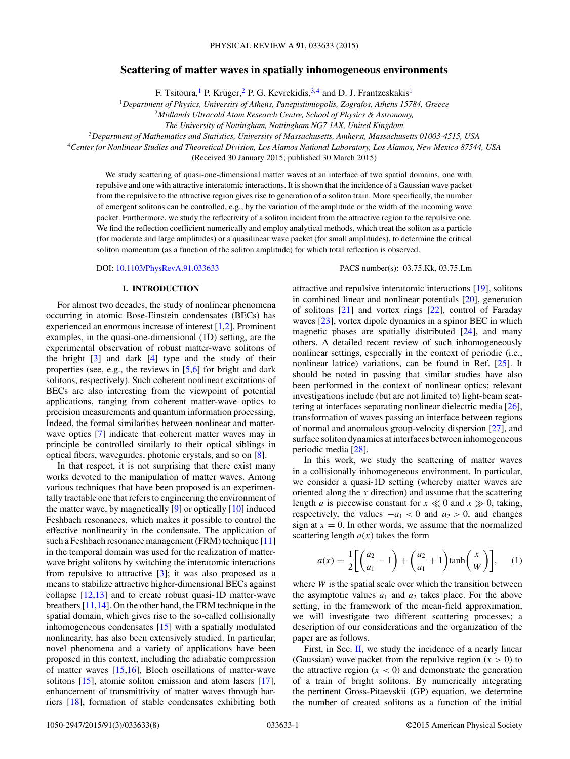# <span id="page-0-0"></span>**Scattering of matter waves in spatially inhomogeneous environments**

F. Tsitoura,<sup>1</sup> P. Krüger, <sup>2</sup> P. G. Kevrekidis,  $3,4$  and D. J. Frantzeskakis<sup>1</sup>

<sup>1</sup>*Department of Physics, University of Athens, Panepistimiopolis, Zografos, Athens 15784, Greece*

<sup>2</sup>*Midlands Ultracold Atom Research Centre, School of Physics & Astronomy,*

*The University of Nottingham, Nottingham NG7 1AX, United Kingdom*

<sup>3</sup>*Department of Mathematics and Statistics, University of Massachusetts, Amherst, Massachusetts 01003-4515, USA*

<sup>4</sup>*Center for Nonlinear Studies and Theoretical Division, Los Alamos National Laboratory, Los Alamos, New Mexico 87544, USA*

(Received 30 January 2015; published 30 March 2015)

We study scattering of quasi-one-dimensional matter waves at an interface of two spatial domains, one with repulsive and one with attractive interatomic interactions. It is shown that the incidence of a Gaussian wave packet from the repulsive to the attractive region gives rise to generation of a soliton train. More specifically, the number of emergent solitons can be controlled, e.g., by the variation of the amplitude or the width of the incoming wave packet. Furthermore, we study the reflectivity of a soliton incident from the attractive region to the repulsive one. We find the reflection coefficient numerically and employ analytical methods, which treat the soliton as a particle (for moderate and large amplitudes) or a quasilinear wave packet (for small amplitudes), to determine the critical soliton momentum (as a function of the soliton amplitude) for which total reflection is observed.

DOI: [10.1103/PhysRevA.91.033633](http://dx.doi.org/10.1103/PhysRevA.91.033633) PACS number(s): 03*.*75*.*Kk*,* 03*.*75*.*Lm

#### **I. INTRODUCTION**

For almost two decades, the study of nonlinear phenomena occurring in atomic Bose-Einstein condensates (BECs) has experienced an enormous increase of interest [\[1,2\]](#page-6-0). Prominent examples, in the quasi-one-dimensional (1D) setting, are the experimental observation of robust matter-wave solitons of the bright  $\lceil 3 \rceil$  and dark  $\lceil 4 \rceil$  type and the study of their properties (see, e.g., the reviews in [\[5,6\]](#page-6-0) for bright and dark solitons, respectively). Such coherent nonlinear excitations of BECs are also interesting from the viewpoint of potential applications, ranging from coherent matter-wave optics to precision measurements and quantum information processing. Indeed, the formal similarities between nonlinear and matterwave optics [\[7\]](#page-6-0) indicate that coherent matter waves may in principle be controlled similarly to their optical siblings in optical fibers, waveguides, photonic crystals, and so on [\[8\]](#page-6-0).

In that respect, it is not surprising that there exist many works devoted to the manipulation of matter waves. Among various techniques that have been proposed is an experimentally tractable one that refers to engineering the environment of the matter wave, by magnetically [\[9\]](#page-6-0) or optically [\[10\]](#page-6-0) induced Feshbach resonances, which makes it possible to control the effective nonlinearity in the condensate. The application of such a Feshbach resonance management (FRM) technique [\[11\]](#page-6-0) in the temporal domain was used for the realization of matterwave bright solitons by switching the interatomic interactions from repulsive to attractive [\[3\]](#page-6-0); it was also proposed as a means to stabilize attractive higher-dimensional BECs against collapse [\[12,13\]](#page-6-0) and to create robust quasi-1D matter-wave breathers [\[11,14\]](#page-6-0). On the other hand, the FRM technique in the spatial domain, which gives rise to the so-called collisionally inhomogeneous condensates [\[15\]](#page-6-0) with a spatially modulated nonlinearity, has also been extensively studied. In particular, novel phenomena and a variety of applications have been proposed in this context, including the adiabatic compression of matter waves [\[15,16\]](#page-6-0), Bloch oscillations of matter-wave solitons [\[15\]](#page-6-0), atomic soliton emission and atom lasers [\[17\]](#page-6-0), enhancement of transmittivity of matter waves through barriers [\[18\]](#page-6-0), formation of stable condensates exhibiting both

attractive and repulsive interatomic interactions [\[19\]](#page-6-0), solitons in combined linear and nonlinear potentials [\[20\]](#page-6-0), generation of solitons [\[21\]](#page-6-0) and vortex rings [\[22\]](#page-6-0), control of Faraday waves [\[23\]](#page-6-0), vortex dipole dynamics in a spinor BEC in which magnetic phases are spatially distributed [\[24\]](#page-6-0), and many others. A detailed recent review of such inhomogeneously nonlinear settings, especially in the context of periodic (i.e., nonlinear lattice) variations, can be found in Ref. [\[25\]](#page-7-0). It should be noted in passing that similar studies have also been performed in the context of nonlinear optics; relevant investigations include (but are not limited to) light-beam scattering at interfaces separating nonlinear dielectric media [\[26\]](#page-7-0), transformation of waves passing an interface between regions of normal and anomalous group-velocity dispersion [\[27\]](#page-7-0), and surface soliton dynamics at interfaces between inhomogeneous periodic media [\[28\]](#page-7-0).

In this work, we study the scattering of matter waves in a collisionally inhomogeneous environment. In particular, we consider a quasi-1D setting (whereby matter waves are oriented along the *x* direction) and assume that the scattering length *a* is piecewise constant for  $x \ll 0$  and  $x \gg 0$ , taking, respectively, the values  $-a_1 < 0$  and  $a_2 > 0$ , and changes sign at  $x = 0$ . In other words, we assume that the normalized scattering length  $a(x)$  takes the form

$$
a(x) = \frac{1}{2} \left[ \left( \frac{a_2}{a_1} - 1 \right) + \left( \frac{a_2}{a_1} + 1 \right) \tanh\left(\frac{x}{W}\right) \right], \quad (1)
$$

where *W* is the spatial scale over which the transition between the asymptotic values  $a_1$  and  $a_2$  takes place. For the above setting, in the framework of the mean-field approximation, we will investigate two different scattering processes; a description of our considerations and the organization of the paper are as follows.

First, in Sec. [II,](#page-1-0) we study the incidence of a nearly linear (Gaussian) wave packet from the repulsive region  $(x > 0)$  to the attractive region  $(x < 0)$  and demonstrate the generation of a train of bright solitons. By numerically integrating the pertinent Gross-Pitaevskii (GP) equation, we determine the number of created solitons as a function of the initial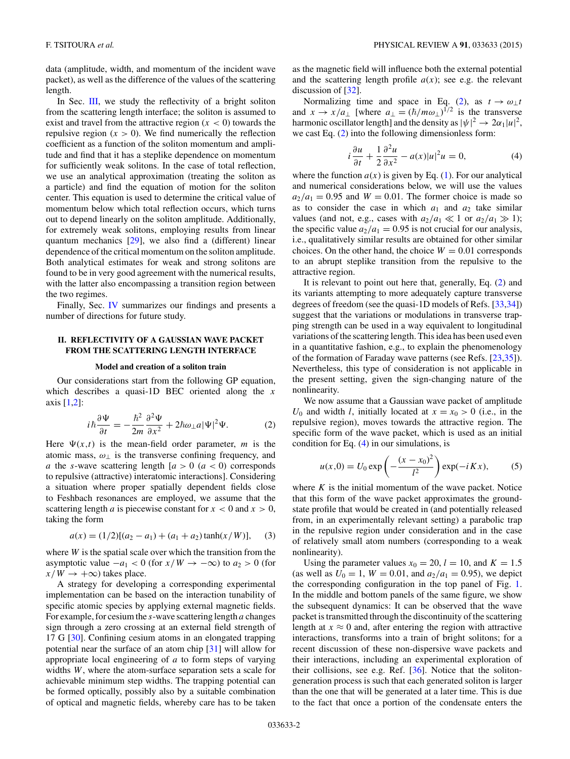<span id="page-1-0"></span>data (amplitude, width, and momentum of the incident wave packet), as well as the difference of the values of the scattering length.

In Sec. [III,](#page-2-0) we study the reflectivity of a bright soliton from the scattering length interface; the soliton is assumed to exist and travel from the attractive region  $(x < 0)$  towards the repulsive region  $(x > 0)$ . We find numerically the reflection coefficient as a function of the soliton momentum and amplitude and find that it has a steplike dependence on momentum for sufficiently weak solitons. In the case of total reflection, we use an analytical approximation (treating the soliton as a particle) and find the equation of motion for the soliton center. This equation is used to determine the critical value of momentum below which total reflection occurs, which turns out to depend linearly on the soliton amplitude. Additionally, for extremely weak solitons, employing results from linear quantum mechanics [\[29\]](#page-7-0), we also find a (different) linear dependence of the critical momentum on the soliton amplitude. Both analytical estimates for weak and strong solitons are found to be in very good agreement with the numerical results, with the latter also encompassing a transition region between the two regimes.

Finally, Sec. [IV](#page-5-0) summarizes our findings and presents a number of directions for future study.

### **II. REFLECTIVITY OF A GAUSSIAN WAVE PACKET FROM THE SCATTERING LENGTH INTERFACE**

#### **Model and creation of a soliton train**

Our considerations start from the following GP equation, which describes a quasi-1D BEC oriented along the *x* axis [\[1,2\]](#page-6-0):

$$
i\hbar \frac{\partial \Psi}{\partial t} = -\frac{\hbar^2}{2m} \frac{\partial^2 \Psi}{\partial x^2} + 2\hbar \omega_\perp a |\Psi|^2 \Psi. \tag{2}
$$

Here  $\Psi(x,t)$  is the mean-field order parameter, *m* is the atomic mass,  $\omega_{\perp}$  is the transverse confining frequency, and *a* the *s*-wave scattering length  $[a > 0 \ (a < 0)$  corresponds to repulsive (attractive) interatomic interactions]. Considering a situation where proper spatially dependent fields close to Feshbach resonances are employed, we assume that the scattering length *a* is piecewise constant for  $x < 0$  and  $x > 0$ , taking the form

$$
a(x) = (1/2)[(a_2 - a_1) + (a_1 + a_2)\tanh(x/W)],
$$
 (3)

where *W* is the spatial scale over which the transition from the asymptotic value  $-a_1 < 0$  (for  $x/W \to -\infty$ ) to  $a_2 > 0$  (for  $x/W \rightarrow +\infty$ ) takes place.

A strategy for developing a corresponding experimental implementation can be based on the interaction tunability of specific atomic species by applying external magnetic fields. For example, for cesium the *s*-wave scattering length *a* changes sign through a zero crossing at an external field strength of 17 G [\[30\]](#page-7-0). Confining cesium atoms in an elongated trapping potential near the surface of an atom chip [\[31\]](#page-7-0) will allow for appropriate local engineering of *a* to form steps of varying widths *W*, where the atom-surface separation sets a scale for achievable minimum step widths. The trapping potential can be formed optically, possibly also by a suitable combination of optical and magnetic fields, whereby care has to be taken

as the magnetic field will influence both the external potential and the scattering length profile  $a(x)$ ; see e.g. the relevant discussion of [\[32\]](#page-7-0).

Normalizing time and space in Eq. (2), as  $t \to \omega_{\perp} t$ and  $x \to x/a_{\perp}$  [where  $a_{\perp} = (\hbar/m\omega_{\perp})^{1/2}$  is the transverse harmonic oscillator length] and the density as  $|\psi|^2 \rightarrow 2\alpha_1 |u|^2$ , we cast Eq. (2) into the following dimensionless form:

$$
i\frac{\partial u}{\partial t} + \frac{1}{2}\frac{\partial^2 u}{\partial x^2} - a(x)|u|^2 u = 0,\tag{4}
$$

where the function  $a(x)$  is given by Eq. [\(1\)](#page-0-0). For our analytical and numerical considerations below, we will use the values  $a_2/a_1 = 0.95$  and  $W = 0.01$ . The former choice is made so as to consider the case in which  $a_1$  and  $a_2$  take similar values (and not, e.g., cases with  $a_2/a_1 \ll 1$  or  $a_2/a_1 \gg 1$ ); the specific value  $a_2/a_1 = 0.95$  is not crucial for our analysis, i.e., qualitatively similar results are obtained for other similar choices. On the other hand, the choice  $W = 0.01$  corresponds to an abrupt steplike transition from the repulsive to the attractive region.

It is relevant to point out here that, generally, Eq. (2) and its variants attempting to more adequately capture transverse degrees of freedom (see the quasi-1D models of Refs. [\[33,34\]](#page-7-0)) suggest that the variations or modulations in transverse trapping strength can be used in a way equivalent to longitudinal variations of the scattering length. This idea has been used even in a quantitative fashion, e.g., to explain the phenomenology of the formation of Faraday wave patterns (see Refs. [\[23](#page-6-0)[,35\]](#page-7-0)). Nevertheless, this type of consideration is not applicable in the present setting, given the sign-changing nature of the nonlinearity.

We now assume that a Gaussian wave packet of amplitude  $U_0$  and width *l*, initially located at  $x = x_0 > 0$  (i.e., in the repulsive region), moves towards the attractive region. The specific form of the wave packet, which is used as an initial condition for Eq. (4) in our simulations, is

$$
u(x,0) = U_0 \exp\left(-\frac{(x-x_0)^2}{l^2}\right) \exp(-i K x),
$$
 (5)

where  $K$  is the initial momentum of the wave packet. Notice that this form of the wave packet approximates the groundstate profile that would be created in (and potentially released from, in an experimentally relevant setting) a parabolic trap in the repulsive region under consideration and in the case of relatively small atom numbers (corresponding to a weak nonlinearity).

Using the parameter values  $x_0 = 20$ ,  $l = 10$ , and  $K = 1.5$ (as well as  $U_0 = 1$ ,  $W = 0.01$ , and  $a_2/a_1 = 0.95$ ), we depict the corresponding configuration in the top panel of Fig. [1.](#page-2-0) In the middle and bottom panels of the same figure, we show the subsequent dynamics: It can be observed that the wave packet is transmitted through the discontinuity of the scattering length at  $x \approx 0$  and, after entering the region with attractive interactions, transforms into a train of bright solitons; for a recent discussion of these non-dispersive wave packets and their interactions, including an experimental exploration of their collisions, see e.g. Ref. [\[36\]](#page-7-0). Notice that the solitongeneration process is such that each generated soliton is larger than the one that will be generated at a later time. This is due to the fact that once a portion of the condensate enters the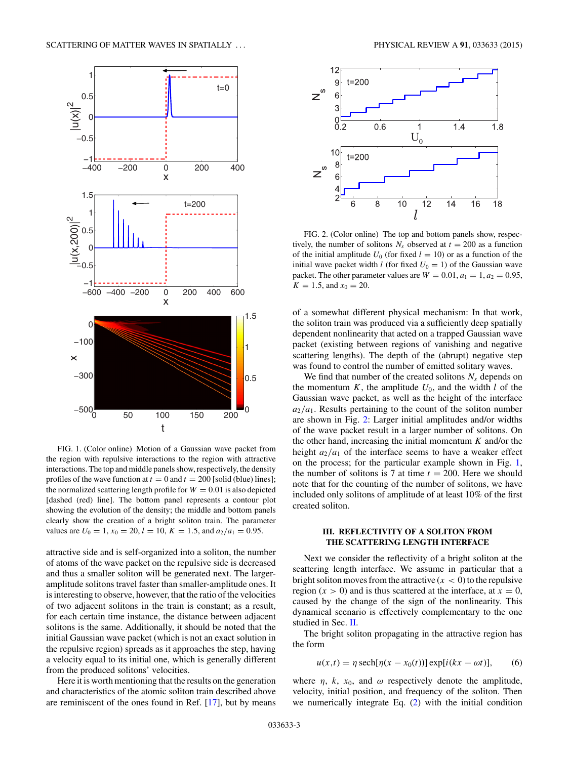<span id="page-2-0"></span>

FIG. 1. (Color online) Motion of a Gaussian wave packet from the region with repulsive interactions to the region with attractive interactions. The top and middle panels show, respectively, the density profiles of the wave function at  $t = 0$  and  $t = 200$  [solid (blue) lines]; the normalized scattering length profile for  $W = 0.01$  is also depicted [dashed (red) line]. The bottom panel represents a contour plot showing the evolution of the density; the middle and bottom panels clearly show the creation of a bright soliton train. The parameter values are  $U_0 = 1$ ,  $x_0 = 20$ ,  $l = 10$ ,  $K = 1.5$ , and  $a_2/a_1 = 0.95$ .

attractive side and is self-organized into a soliton, the number of atoms of the wave packet on the repulsive side is decreased and thus a smaller soliton will be generated next. The largeramplitude solitons travel faster than smaller-amplitude ones. It is interesting to observe, however, that the ratio of the velocities of two adjacent solitons in the train is constant; as a result, for each certain time instance, the distance between adjacent solitons is the same. Additionally, it should be noted that the initial Gaussian wave packet (which is not an exact solution in the repulsive region) spreads as it approaches the step, having a velocity equal to its initial one, which is generally different from the produced solitons' velocities.

Here it is worth mentioning that the results on the generation and characteristics of the atomic soliton train described above are reminiscent of the ones found in Ref. [\[17\]](#page-6-0), but by means



FIG. 2. (Color online) The top and bottom panels show, respectively, the number of solitons  $N_s$  observed at  $t = 200$  as a function of the initial amplitude  $U_0$  (for fixed  $l = 10$ ) or as a function of the initial wave packet width *l* (for fixed  $U_0 = 1$ ) of the Gaussian wave packet. The other parameter values are  $W = 0.01, a_1 = 1, a_2 = 0.95$ ,  $K = 1.5$ , and  $x_0 = 20$ .

of a somewhat different physical mechanism: In that work, the soliton train was produced via a sufficiently deep spatially dependent nonlinearity that acted on a trapped Gaussian wave packet (existing between regions of vanishing and negative scattering lengths). The depth of the (abrupt) negative step was found to control the number of emitted solitary waves.

We find that number of the created solitons  $N_s$  depends on the momentum  $K$ , the amplitude  $U_0$ , and the width  $l$  of the Gaussian wave packet, as well as the height of the interface  $a_2/a_1$ . Results pertaining to the count of the soliton number are shown in Fig. 2: Larger initial amplitudes and/or widths of the wave packet result in a larger number of solitons. On the other hand, increasing the initial momentum *K* and/or the height  $a_2/a_1$  of the interface seems to have a weaker effect on the process; for the particular example shown in Fig. 1, the number of solitons is 7 at time  $t = 200$ . Here we should note that for the counting of the number of solitons, we have included only solitons of amplitude of at least 10% of the first created soliton.

# **III. REFLECTIVITY OF A SOLITON FROM THE SCATTERING LENGTH INTERFACE**

Next we consider the reflectivity of a bright soliton at the scattering length interface. We assume in particular that a bright soliton moves from the attractive  $(x < 0)$  to the repulsive region  $(x > 0)$  and is thus scattered at the interface, at  $x = 0$ , caused by the change of the sign of the nonlinearity. This dynamical scenario is effectively complementary to the one studied in Sec. [II.](#page-1-0)

The bright soliton propagating in the attractive region has the form

$$
u(x,t) = \eta \operatorname{sech}[\eta(x - x_0(t))] \operatorname{exp}[i(kx - \omega t)], \qquad (6)
$$

where  $\eta$ ,  $k$ ,  $x_0$ , and  $\omega$  respectively denote the amplitude, velocity, initial position, and frequency of the soliton. Then we numerically integrate Eq. [\(2\)](#page-1-0) with the initial condition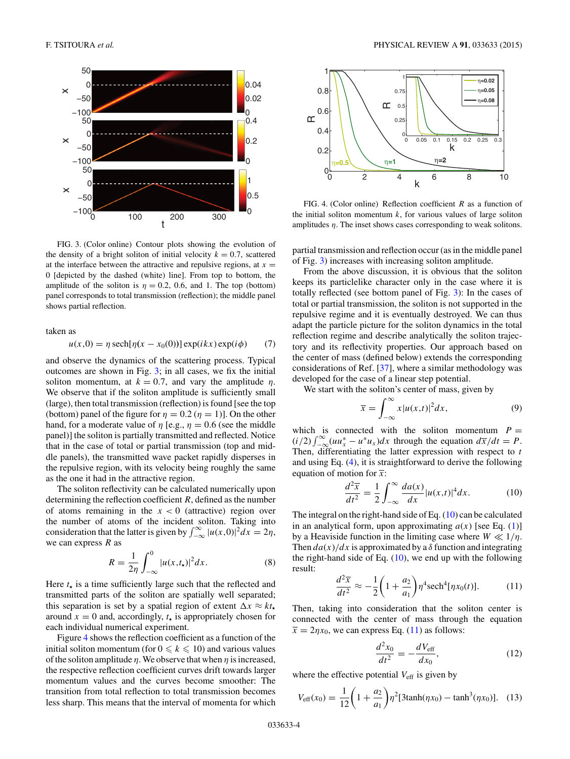<span id="page-3-0"></span>

FIG. 3. (Color online) Contour plots showing the evolution of the density of a bright soliton of initial velocity  $k = 0.7$ , scattered at the interface between the attractive and repulsive regions, at  $x =$ 0 [depicted by the dashed (white) line]. From top to bottom, the amplitude of the soliton is  $\eta = 0.2$ , 0.6, and 1. The top (bottom) panel corresponds to total transmission (reflection); the middle panel shows partial reflection.

taken as

$$
u(x,0) = \eta \operatorname{sech}[\eta(x - x_0(0))] \operatorname{exp}(ikx) \operatorname{exp}(i\phi) \qquad (7)
$$

and observe the dynamics of the scattering process. Typical outcomes are shown in Fig. 3; in all cases, we fix the initial soliton momentum, at  $k = 0.7$ , and vary the amplitude  $\eta$ . We observe that if the soliton amplitude is sufficiently small (large), then total transmission (reflection) is found [see the top (bottom) panel of the figure for  $\eta = 0.2$  ( $\eta = 1$ ). On the other hand, for a moderate value of  $\eta$  [e.g.,  $\eta = 0.6$  (see the middle panel)] the soliton is partially transmitted and reflected. Notice that in the case of total or partial transmission (top and middle panels), the transmitted wave packet rapidly disperses in the repulsive region, with its velocity being roughly the same as the one it had in the attractive region.

The soliton reflectivity can be calculated numerically upon determining the reflection coefficient *R*, defined as the number of atoms remaining in the  $x < 0$  (attractive) region over the number of atoms of the incident soliton. Taking into consideration that the latter is given by  $\int_{-\infty}^{\infty} |u(x,0)|^2 dx = 2\eta$ , we can express *R* as

$$
R = \frac{1}{2\eta} \int_{-\infty}^{0} |u(x, t_{\star})|^2 dx.
$$
 (8)

Here  $t_{\star}$  is a time sufficiently large such that the reflected and transmitted parts of the soliton are spatially well separated; this separation is set by a spatial region of extent  $\Delta x \approx kt$ . around  $x = 0$  and, accordingly,  $t<sub>x</sub>$  is appropriately chosen for each individual numerical experiment.

Figure 4 shows the reflection coefficient as a function of the initial soliton momentum (for  $0 \le k \le 10$ ) and various values of the soliton amplitude *η*. We observe that when *η* is increased, the respective reflection coefficient curves drift towards larger momentum values and the curves become smoother: The transition from total reflection to total transmission becomes less sharp. This means that the interval of momenta for which



FIG. 4. (Color online) Reflection coefficient *R* as a function of the initial soliton momentum  $k$ , for various values of large soliton amplitudes *η*. The inset shows cases corresponding to weak solitons.

partial transmission and reflection occur (as in the middle panel of Fig. 3) increases with increasing soliton amplitude.

From the above discussion, it is obvious that the soliton keeps its particlelike character only in the case where it is totally reflected (see bottom panel of Fig. 3): In the cases of total or partial transmission, the soliton is not supported in the repulsive regime and it is eventually destroyed. We can thus adapt the particle picture for the soliton dynamics in the total reflection regime and describe analytically the soliton trajectory and its reflectivity properties. Our approach based on the center of mass (defined below) extends the corresponding considerations of Ref. [\[37\]](#page-7-0), where a similar methodology was developed for the case of a linear step potential.

We start with the soliton's center of mass, given by

$$
\overline{x} = \int_{-\infty}^{\infty} x |u(x,t)|^2 dx, \tag{9}
$$

which is connected with the soliton momentum  $P =$  $(i/2) \int_{-\infty}^{\infty} (u u_x^* - u^* u_x) dx$  through the equation  $d\overline{x}/dt = P$ . Then, differentiating the latter expression with respect to *t* and using Eq. [\(4\)](#page-1-0), it is straightforward to derive the following equation of motion for  $\bar{x}$ :

$$
\frac{d^2\overline{x}}{dt^2} = \frac{1}{2} \int_{-\infty}^{\infty} \frac{da(x)}{dx} |u(x,t)|^4 dx.
$$
 (10)

The integral on the right-hand side of Eq. (10) can be calculated in an analytical form, upon approximating  $a(x)$  [see Eq. [\(1\)](#page-0-0)] by a Heaviside function in the limiting case where  $W \ll 1/\eta$ . Then  $da(x)/dx$  is approximated by a  $\delta$  function and integrating the right-hand side of Eq.  $(10)$ , we end up with the following result:

$$
\frac{d^2\overline{x}}{dt^2} \approx -\frac{1}{2}\left(1 + \frac{a_2}{a_1}\right)\eta^4 \text{sech}^4[\eta x_0(t)].\tag{11}
$$

Then, taking into consideration that the soliton center is connected with the center of mass through the equation  $\bar{x} = 2\eta x_0$ , we can express Eq. (11) as follows:

$$
\frac{d^2x_0}{dt^2} = -\frac{dV_{\text{eff}}}{dx_0},\tag{12}
$$

where the effective potential  $V_{\text{eff}}$  is given by

$$
V_{\text{eff}}(x_0) = \frac{1}{12} \left( 1 + \frac{a_2}{a_1} \right) \eta^2 [3 \tanh(\eta x_0) - \tanh^3(\eta x_0)]. \tag{13}
$$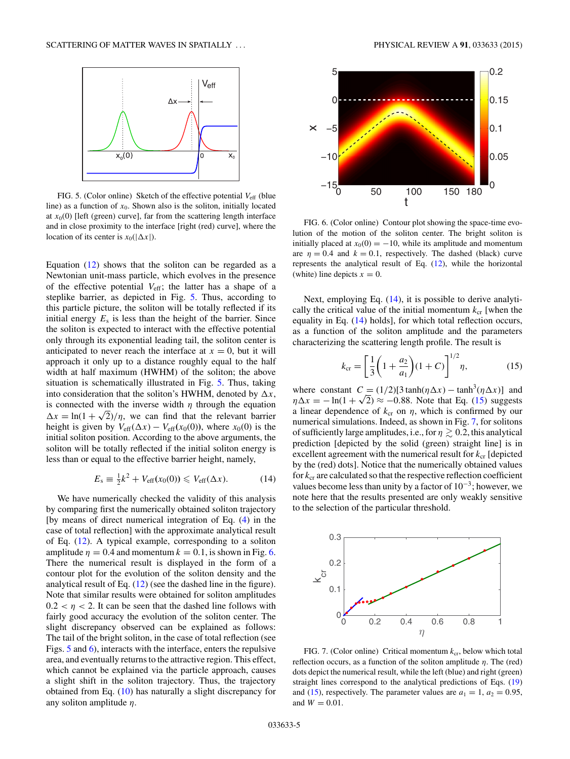<span id="page-4-0"></span>

FIG. 5. (Color online) Sketch of the effective potential  $V_{\text{eff}}$  (blue line) as a function of  $x_0$ . Shown also is the soliton, initially located at  $x<sub>0</sub>(0)$  [left (green) curve], far from the scattering length interface and in close proximity to the interface [right (red) curve], where the location of its center is  $x_0(|\Delta x|)$ .

Equation [\(12\)](#page-3-0) shows that the soliton can be regarded as a Newtonian unit-mass particle, which evolves in the presence of the effective potential  $V_{\text{eff}}$ ; the latter has a shape of a steplike barrier, as depicted in Fig. 5. Thus, according to this particle picture, the soliton will be totally reflected if its initial energy  $E_s$  is less than the height of the barrier. Since the soliton is expected to interact with the effective potential only through its exponential leading tail, the soliton center is anticipated to never reach the interface at  $x = 0$ , but it will approach it only up to a distance roughly equal to the half width at half maximum (HWHM) of the soliton; the above situation is schematically illustrated in Fig. 5. Thus, taking into consideration that the soliton's HWHM, denoted by  $\Delta x$ , is connected with the inverse width  $\eta$  through the equation  $\Delta x = \ln(1 + \sqrt{2})/\eta$ , we can find that the relevant barrier height is given by  $V_{\text{eff}}(\Delta x) - V_{\text{eff}}(x_0(0))$ , where  $x_0(0)$  is the initial soliton position. According to the above arguments, the soliton will be totally reflected if the initial soliton energy is less than or equal to the effective barrier height, namely,

$$
E_s \equiv \frac{1}{2}k^2 + V_{\text{eff}}(x_0(0)) \leq V_{\text{eff}}(\Delta x).
$$
 (14)

We have numerically checked the validity of this analysis by comparing first the numerically obtained soliton trajectory [by means of direct numerical integration of Eq. [\(4\)](#page-1-0) in the case of total reflection] with the approximate analytical result of Eq. [\(12\)](#page-3-0). A typical example, corresponding to a soliton amplitude  $\eta = 0.4$  and momentum  $k = 0.1$ , is shown in Fig. 6. There the numerical result is displayed in the form of a contour plot for the evolution of the soliton density and the analytical result of Eq. [\(12\)](#page-3-0) (see the dashed line in the figure). Note that similar results were obtained for soliton amplitudes  $0.2 < \eta < 2$ . It can be seen that the dashed line follows with fairly good accuracy the evolution of the soliton center. The slight discrepancy observed can be explained as follows: The tail of the bright soliton, in the case of total reflection (see Figs. 5 and 6), interacts with the interface, enters the repulsive area, and eventually returns to the attractive region. This effect, which cannot be explained via the particle approach, causes a slight shift in the soliton trajectory. Thus, the trajectory obtained from Eq. [\(10\)](#page-3-0) has naturally a slight discrepancy for any soliton amplitude *η*.



FIG. 6. (Color online) Contour plot showing the space-time evolution of the motion of the soliton center. The bright soliton is initially placed at  $x_0(0) = -10$ , while its amplitude and momentum are  $\eta = 0.4$  and  $k = 0.1$ , respectively. The dashed (black) curve represents the analytical result of Eq. [\(12\)](#page-3-0), while the horizontal (white) line depicts  $x = 0$ .

Next, employing Eq. (14), it is possible to derive analytically the critical value of the initial momentum  $k_{cr}$  [when the equality in Eq. (14) holds], for which total reflection occurs, as a function of the soliton amplitude and the parameters characterizing the scattering length profile. The result is

$$
k_{\rm cr} = \left[\frac{1}{3}\left(1 + \frac{a_2}{a_1}\right)(1 + C)\right]^{1/2} \eta,\tag{15}
$$

where constant  $C = (1/2)[3 \tanh(\eta \Delta x) - \tanh^3(\eta \Delta x)]$  and  $\eta \Delta x = -\ln(1 + \sqrt{2}) \approx -0.88$ . Note that Eq. (15) suggests a linear dependence of  $k_{cr}$  on  $\eta$ , which is confirmed by our numerical simulations. Indeed, as shown in Fig. 7, for solitons of sufficiently large amplitudes, i.e., for  $\eta \geq 0.2$ , this analytical prediction [depicted by the solid (green) straight line] is in excellent agreement with the numerical result for  $k_{cr}$  [depicted by the (red) dots]. Notice that the numerically obtained values for *k*cr are calculated so that the respective reflection coefficient values become less than unity by a factor of  $10^{-3}$ ; however, we note here that the results presented are only weakly sensitive to the selection of the particular threshold.



FIG. 7. (Color online) Critical momentum  $k_{cr}$ , below which total reflection occurs, as a function of the soliton amplitude *η*. The (red) dots depict the numerical result, while the left (blue) and right (green) straight lines correspond to the analytical predictions of Eqs. [\(19\)](#page-5-0) and (15), respectively. The parameter values are  $a_1 = 1$ ,  $a_2 = 0.95$ , and  $W = 0.01$ .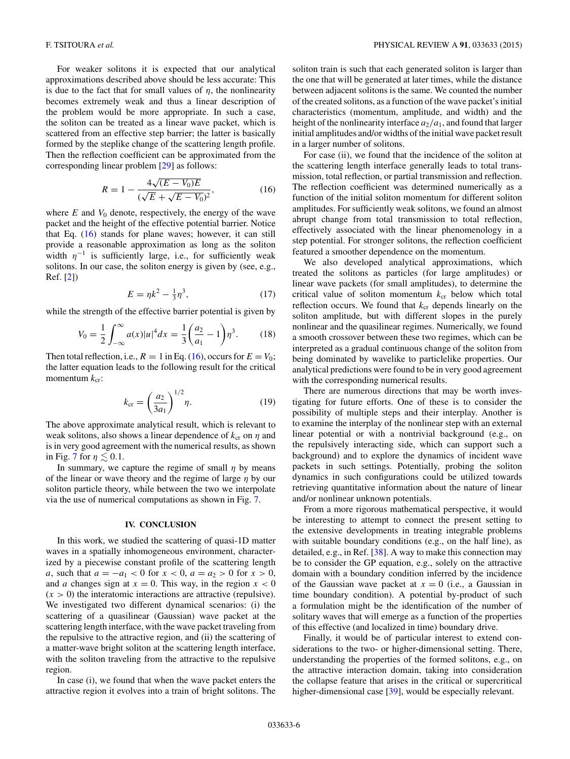<span id="page-5-0"></span>For weaker solitons it is expected that our analytical approximations described above should be less accurate: This is due to the fact that for small values of  $\eta$ , the nonlinearity becomes extremely weak and thus a linear description of the problem would be more appropriate. In such a case, the soliton can be treated as a linear wave packet, which is scattered from an effective step barrier; the latter is basically formed by the steplike change of the scattering length profile. Then the reflection coefficient can be approximated from the corresponding linear problem [\[29\]](#page-7-0) as follows:

$$
R = 1 - \frac{4\sqrt{(E - V_0)E}}{(\sqrt{E} + \sqrt{E - V_0})^2},
$$
\n(16)

where  $E$  and  $V_0$  denote, respectively, the energy of the wave packet and the height of the effective potential barrier. Notice that Eq. (16) stands for plane waves; however, it can still provide a reasonable approximation as long as the soliton width  $\eta^{-1}$  is sufficiently large, i.e., for sufficiently weak solitons. In our case, the soliton energy is given by (see, e.g., Ref. [\[2\]](#page-6-0))

$$
E = \eta k^2 - \frac{1}{3}\eta^3,\tag{17}
$$

while the strength of the effective barrier potential is given by

$$
V_0 = \frac{1}{2} \int_{-\infty}^{\infty} a(x)|u|^4 dx = \frac{1}{3} \left(\frac{a_2}{a_1} - 1\right) \eta^3.
$$
 (18)

Then total reflection, i.e.,  $R = 1$  in Eq. (16), occurs for  $E = V_0$ ; the latter equation leads to the following result for the critical momentum  $k_{\text{cr}}$ :

$$
k_{\rm cr} = \left(\frac{a_2}{3a_1}\right)^{1/2} \eta.
$$
 (19)

The above approximate analytical result, which is relevant to weak solitons, also shows a linear dependence of  $k_{cr}$  on  $\eta$  and is in very good agreement with the numerical results, as shown in Fig. [7](#page-4-0) for  $\eta \lesssim 0.1$ .

In summary, we capture the regime of small  $\eta$  by means of the linear or wave theory and the regime of large *η* by our soliton particle theory, while between the two we interpolate via the use of numerical computations as shown in Fig. [7.](#page-4-0)

# **IV. CONCLUSION**

In this work, we studied the scattering of quasi-1D matter waves in a spatially inhomogeneous environment, characterized by a piecewise constant profile of the scattering length *a*, such that  $a = -a_1 < 0$  for  $x < 0$ ,  $a = a_2 > 0$  for  $x > 0$ , and *a* changes sign at  $x = 0$ . This way, in the region  $x < 0$  $(x > 0)$  the interatomic interactions are attractive (repulsive). We investigated two different dynamical scenarios: (i) the scattering of a quasilinear (Gaussian) wave packet at the scattering length interface, with the wave packet traveling from the repulsive to the attractive region, and (ii) the scattering of a matter-wave bright soliton at the scattering length interface, with the soliton traveling from the attractive to the repulsive region.

In case (i), we found that when the wave packet enters the attractive region it evolves into a train of bright solitons. The

soliton train is such that each generated soliton is larger than the one that will be generated at later times, while the distance between adjacent solitons is the same. We counted the number of the created solitons, as a function of the wave packet's initial characteristics (momentum, amplitude, and width) and the height of the nonlinearity interface  $a_2/a_1$ , and found that larger initial amplitudes and/or widths of the initial wave packet result in a larger number of solitons.

For case (ii), we found that the incidence of the soliton at the scattering length interface generally leads to total transmission, total reflection, or partial transmission and reflection. The reflection coefficient was determined numerically as a function of the initial soliton momentum for different soliton amplitudes. For sufficiently weak solitons, we found an almost abrupt change from total transmission to total reflection, effectively associated with the linear phenomenology in a step potential. For stronger solitons, the reflection coefficient featured a smoother dependence on the momentum.

We also developed analytical approximations, which treated the solitons as particles (for large amplitudes) or linear wave packets (for small amplitudes), to determine the critical value of soliton momentum  $k_{cr}$  below which total reflection occurs. We found that  $k_{cr}$  depends linearly on the soliton amplitude, but with different slopes in the purely nonlinear and the quasilinear regimes. Numerically, we found a smooth crossover between these two regimes, which can be interpreted as a gradual continuous change of the soliton from being dominated by wavelike to particlelike properties. Our analytical predictions were found to be in very good agreement with the corresponding numerical results.

There are numerous directions that may be worth investigating for future efforts. One of these is to consider the possibility of multiple steps and their interplay. Another is to examine the interplay of the nonlinear step with an external linear potential or with a nontrivial background (e.g., on the repulsively interacting side, which can support such a background) and to explore the dynamics of incident wave packets in such settings. Potentially, probing the soliton dynamics in such configurations could be utilized towards retrieving quantitative information about the nature of linear and/or nonlinear unknown potentials.

From a more rigorous mathematical perspective, it would be interesting to attempt to connect the present setting to the extensive developments in treating integrable problems with suitable boundary conditions (e.g., on the half line), as detailed, e.g., in Ref. [\[38\]](#page-7-0). A way to make this connection may be to consider the GP equation, e.g., solely on the attractive domain with a boundary condition inferred by the incidence of the Gaussian wave packet at  $x = 0$  (i.e., a Gaussian in time boundary condition). A potential by-product of such a formulation might be the identification of the number of solitary waves that will emerge as a function of the properties of this effective (and localized in time) boundary drive.

Finally, it would be of particular interest to extend considerations to the two- or higher-dimensional setting. There, understanding the properties of the formed solitons, e.g., on the attractive interaction domain, taking into consideration the collapse feature that arises in the critical or supercritical higher-dimensional case [\[39\]](#page-7-0), would be especially relevant.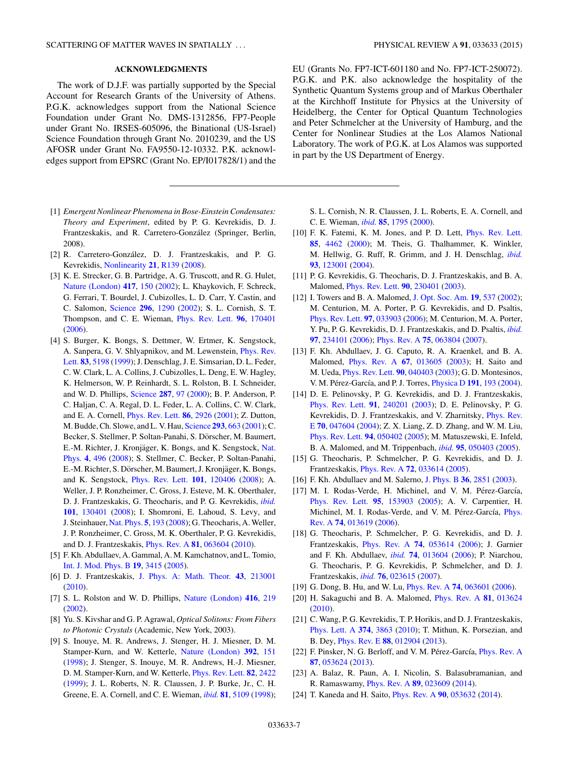### **ACKNOWLEDGMENTS**

<span id="page-6-0"></span>The work of D.J.F. was partially supported by the Special Account for Research Grants of the University of Athens. P.G.K. acknowledges support from the National Science Foundation under Grant No. DMS-1312856, FP7-People under Grant No. IRSES-605096, the Binational (US-Israel) Science Foundation through Grant No. 2010239, and the US AFOSR under Grant No. FA9550-12-10332. P.K. acknowledges support from EPSRC (Grant No. EP/I017828/1) and the

- [1] *Emergent Nonlinear Phenomena in Bose-Einstein Condensates: Theory and Experiment*, edited by P. G. Kevrekidis, D. J. Frantzeskakis, and R. Carretero-Gonzalez (Springer, Berlin, ´ 2008).
- [2] R. Carretero-González, D. J. Frantzeskakis, and P. G. Kevrekidis, [Nonlinearity](http://dx.doi.org/10.1088/0951-7715/21/7/R01) **[21](http://dx.doi.org/10.1088/0951-7715/21/7/R01)**, [R139](http://dx.doi.org/10.1088/0951-7715/21/7/R01) [\(2008\)](http://dx.doi.org/10.1088/0951-7715/21/7/R01).
- [3] K. E. Strecker, G. B. Partridge, A. G. Truscott, and R. G. Hulet, [Nature \(London\)](http://dx.doi.org/10.1038/nature747) **[417](http://dx.doi.org/10.1038/nature747)**, [150](http://dx.doi.org/10.1038/nature747) [\(2002\)](http://dx.doi.org/10.1038/nature747); L. Khaykovich, F. Schreck, G. Ferrari, T. Bourdel, J. Cubizolles, L. D. Carr, Y. Castin, and C. Salomon, [Science](http://dx.doi.org/10.1126/science.1071021) **[296](http://dx.doi.org/10.1126/science.1071021)**, [1290](http://dx.doi.org/10.1126/science.1071021) [\(2002\)](http://dx.doi.org/10.1126/science.1071021); S. L. Cornish, S. T. Thompson, and C. E. Wieman, [Phys. Rev. Lett.](http://dx.doi.org/10.1103/PhysRevLett.96.170401) **[96](http://dx.doi.org/10.1103/PhysRevLett.96.170401)**, [170401](http://dx.doi.org/10.1103/PhysRevLett.96.170401) [\(2006\)](http://dx.doi.org/10.1103/PhysRevLett.96.170401).
- [4] S. Burger, K. Bongs, S. Dettmer, W. Ertmer, K. Sengstock, [A. Sanpera, G. V. Shlyapnikov, and M. Lewenstein,](http://dx.doi.org/10.1103/PhysRevLett.83.5198) Phys. Rev. Lett. **[83](http://dx.doi.org/10.1103/PhysRevLett.83.5198)**, [5198](http://dx.doi.org/10.1103/PhysRevLett.83.5198) [\(1999\)](http://dx.doi.org/10.1103/PhysRevLett.83.5198); J. Denschlag, J. E. Simsarian, D. L. Feder, C. W. Clark, L. A. Collins, J. Cubizolles, L. Deng, E. W. Hagley, K. Helmerson, W. P. Reinhardt, S. L. Rolston, B. I. Schneider, and W. D. Phillips, [Science](http://dx.doi.org/10.1126/science.287.5450.97) **[287](http://dx.doi.org/10.1126/science.287.5450.97)**, [97](http://dx.doi.org/10.1126/science.287.5450.97) [\(2000\)](http://dx.doi.org/10.1126/science.287.5450.97); B. P. Anderson, P. C. Haljan, C. A. Regal, D. L. Feder, L. A. Collins, C. W. Clark, and E. A. Cornell, [Phys. Rev. Lett.](http://dx.doi.org/10.1103/PhysRevLett.86.2926) **[86](http://dx.doi.org/10.1103/PhysRevLett.86.2926)**, [2926](http://dx.doi.org/10.1103/PhysRevLett.86.2926) [\(2001\)](http://dx.doi.org/10.1103/PhysRevLett.86.2926); Z. Dutton, M. Budde, Ch. Slowe, and L. V. Hau, [Science](http://dx.doi.org/10.1126/science.1062527) **[293](http://dx.doi.org/10.1126/science.1062527)**, [663](http://dx.doi.org/10.1126/science.1062527) [\(2001\)](http://dx.doi.org/10.1126/science.1062527); C. Becker, S. Stellmer, P. Soltan-Panahi, S. Dörscher, M. Baumert, E.-M. Richter, J. Kronjäger, K. Bongs, and K. Sengstock, Nat. Phys. **[4](http://dx.doi.org/10.1038/nphys962)**, [496](http://dx.doi.org/10.1038/nphys962) [\(2008\)](http://dx.doi.org/10.1038/nphys962); S. Stellmer, C. Becker, P. Soltan-Panahi, E.-M. Richter, S. Dörscher, M. Baumert, J. Kronjäger, K. Bongs, and K. Sengstock, [Phys. Rev. Lett.](http://dx.doi.org/10.1103/PhysRevLett.101.120406) **[101](http://dx.doi.org/10.1103/PhysRevLett.101.120406)**, [120406](http://dx.doi.org/10.1103/PhysRevLett.101.120406) [\(2008\)](http://dx.doi.org/10.1103/PhysRevLett.101.120406); A. Weller, J. P. Ronzheimer, C. Gross, J. Esteve, M. K. Oberthaler, D. J. Frantzeskakis, G. Theocharis, and P. G. Kevrekidis, *[ibid.](http://dx.doi.org/10.1103/PhysRevLett.101.130401)* **[101](http://dx.doi.org/10.1103/PhysRevLett.101.130401)**, [130401](http://dx.doi.org/10.1103/PhysRevLett.101.130401) [\(2008\)](http://dx.doi.org/10.1103/PhysRevLett.101.130401); I. Shomroni, E. Lahoud, S. Levy, and J. Steinhauer, [Nat. Phys.](http://dx.doi.org/10.1038/nphys1177) **[5](http://dx.doi.org/10.1038/nphys1177)**, [193](http://dx.doi.org/10.1038/nphys1177) [\(2008\)](http://dx.doi.org/10.1038/nphys1177); G. Theocharis, A. Weller, J. P. Ronzheimer, C. Gross, M. K. Oberthaler, P. G. Kevrekidis, and D. J. Frantzeskakis, [Phys. Rev. A](http://dx.doi.org/10.1103/PhysRevA.81.063604) **[81](http://dx.doi.org/10.1103/PhysRevA.81.063604)**, [063604](http://dx.doi.org/10.1103/PhysRevA.81.063604) [\(2010\)](http://dx.doi.org/10.1103/PhysRevA.81.063604).
- [5] F. Kh. Abdullaev, A. Gammal, A. M. Kamchatnov, and L. Tomio, [Int. J. Mod. Phys. B](http://dx.doi.org/10.1142/S0217979205032279) **[19](http://dx.doi.org/10.1142/S0217979205032279)**, [3415](http://dx.doi.org/10.1142/S0217979205032279) [\(2005\)](http://dx.doi.org/10.1142/S0217979205032279).
- [6] D. J. Frantzeskakis, [J. Phys. A: Math. Theor.](http://dx.doi.org/10.1088/1751-8113/43/21/213001) **[43](http://dx.doi.org/10.1088/1751-8113/43/21/213001)**, [213001](http://dx.doi.org/10.1088/1751-8113/43/21/213001) [\(2010\)](http://dx.doi.org/10.1088/1751-8113/43/21/213001).
- [7] S. L. Rolston and W. D. Phillips, [Nature \(London\)](http://dx.doi.org/10.1038/416219a) **[416](http://dx.doi.org/10.1038/416219a)**, [219](http://dx.doi.org/10.1038/416219a) [\(2002\)](http://dx.doi.org/10.1038/416219a).
- [8] Yu. S. Kivshar and G. P. Agrawal, *Optical Solitons: From Fibers to Photonic Crystals* (Academic, New York, 2003).
- [9] S. Inouye, M. R. Andrews, J. Stenger, H. J. Miesner, D. M. Stamper-Kurn, and W. Ketterle, [Nature \(London\)](http://dx.doi.org/10.1038/32354) **[392](http://dx.doi.org/10.1038/32354)**, [151](http://dx.doi.org/10.1038/32354) [\(1998\)](http://dx.doi.org/10.1038/32354); J. Stenger, S. Inouye, M. R. Andrews, H.-J. Miesner, D. M. Stamper-Kurn, and W. Ketterle, [Phys. Rev. Lett.](http://dx.doi.org/10.1103/PhysRevLett.82.2422) **[82](http://dx.doi.org/10.1103/PhysRevLett.82.2422)**, [2422](http://dx.doi.org/10.1103/PhysRevLett.82.2422) [\(1999\)](http://dx.doi.org/10.1103/PhysRevLett.82.2422); J. L. Roberts, N. R. Claussen, J. P. Burke, Jr., C. H. Greene, E. A. Cornell, and C. E. Wieman, *[ibid.](http://dx.doi.org/10.1103/PhysRevLett.81.5109)* **[81](http://dx.doi.org/10.1103/PhysRevLett.81.5109)**, [5109](http://dx.doi.org/10.1103/PhysRevLett.81.5109) [\(1998\)](http://dx.doi.org/10.1103/PhysRevLett.81.5109);

EU (Grants No. FP7-ICT-601180 and No. FP7-ICT-250072). P.G.K. and P.K. also acknowledge the hospitality of the Synthetic Quantum Systems group and of Markus Oberthaler at the Kirchhoff Institute for Physics at the University of Heidelberg, the Center for Optical Quantum Technologies and Peter Schmelcher at the University of Hamburg, and the Center for Nonlinear Studies at the Los Alamos National Laboratory. The work of P.G.K. at Los Alamos was supported in part by the US Department of Energy.

S. L. Cornish, N. R. Claussen, J. L. Roberts, E. A. Cornell, and C. E. Wieman, *[ibid.](http://dx.doi.org/10.1103/PhysRevLett.85.1795)* **[85](http://dx.doi.org/10.1103/PhysRevLett.85.1795)**, [1795](http://dx.doi.org/10.1103/PhysRevLett.85.1795) [\(2000\)](http://dx.doi.org/10.1103/PhysRevLett.85.1795).

- [10] F. K. Fatemi, K. M. Jones, and P. D. Lett, *[Phys. Rev. Lett.](http://dx.doi.org/10.1103/PhysRevLett.85.4462)* **[85](http://dx.doi.org/10.1103/PhysRevLett.85.4462)**, [4462](http://dx.doi.org/10.1103/PhysRevLett.85.4462) [\(2000\)](http://dx.doi.org/10.1103/PhysRevLett.85.4462); M. Theis, G. Thalhammer, K. Winkler, M. Hellwig, G. Ruff, R. Grimm, and J. H. Denschlag, *[ibid.](http://dx.doi.org/10.1103/PhysRevLett.93.123001)* **[93](http://dx.doi.org/10.1103/PhysRevLett.93.123001)**, [123001](http://dx.doi.org/10.1103/PhysRevLett.93.123001) [\(2004\)](http://dx.doi.org/10.1103/PhysRevLett.93.123001).
- [11] P. G. Kevrekidis, G. Theocharis, D. J. Frantzeskakis, and B. A. Malomed, [Phys. Rev. Lett.](http://dx.doi.org/10.1103/PhysRevLett.90.230401) **[90](http://dx.doi.org/10.1103/PhysRevLett.90.230401)**, [230401](http://dx.doi.org/10.1103/PhysRevLett.90.230401) [\(2003\)](http://dx.doi.org/10.1103/PhysRevLett.90.230401).
- [12] I. Towers and B. A. Malomed, [J. Opt. Soc. Am.](http://dx.doi.org/10.1364/JOSAB.19.000537) **[19](http://dx.doi.org/10.1364/JOSAB.19.000537)**, [537](http://dx.doi.org/10.1364/JOSAB.19.000537) [\(2002\)](http://dx.doi.org/10.1364/JOSAB.19.000537); M. Centurion, M. A. Porter, P. G. Kevrekidis, and D. Psaltis, [Phys. Rev. Lett.](http://dx.doi.org/10.1103/PhysRevLett.97.033903) **[97](http://dx.doi.org/10.1103/PhysRevLett.97.033903)**, [033903](http://dx.doi.org/10.1103/PhysRevLett.97.033903) [\(2006\)](http://dx.doi.org/10.1103/PhysRevLett.97.033903); M. Centurion, M. A. Porter, Y. Pu, P. G. Kevrekidis, D. J. Frantzeskakis, and D. Psaltis, *[ibid.](http://dx.doi.org/10.1103/PhysRevLett.97.234101)* **[97](http://dx.doi.org/10.1103/PhysRevLett.97.234101)**, [234101](http://dx.doi.org/10.1103/PhysRevLett.97.234101) [\(2006\)](http://dx.doi.org/10.1103/PhysRevLett.97.234101); Phys. Rev. A **[75](http://dx.doi.org/10.1103/PhysRevA.75.063804)**, [063804](http://dx.doi.org/10.1103/PhysRevA.75.063804) [\(2007\)](http://dx.doi.org/10.1103/PhysRevA.75.063804).
- [13] F. Kh. Abdullaev, J. G. Caputo, R. A. Kraenkel, and B. A. Malomed, [Phys. Rev. A](http://dx.doi.org/10.1103/PhysRevA.67.013605) **[67](http://dx.doi.org/10.1103/PhysRevA.67.013605)**, [013605](http://dx.doi.org/10.1103/PhysRevA.67.013605) [\(2003\)](http://dx.doi.org/10.1103/PhysRevA.67.013605); H. Saito and M. Ueda, [Phys. Rev. Lett.](http://dx.doi.org/10.1103/PhysRevLett.90.040403) **[90](http://dx.doi.org/10.1103/PhysRevLett.90.040403)**, [040403](http://dx.doi.org/10.1103/PhysRevLett.90.040403) [\(2003\)](http://dx.doi.org/10.1103/PhysRevLett.90.040403); G. D. Montesinos, V. M. Pérez-García, and P. J. Torres, *[Physica D](http://dx.doi.org/10.1016/j.physd.2003.12.001)* **[191](http://dx.doi.org/10.1016/j.physd.2003.12.001)**, [193](http://dx.doi.org/10.1016/j.physd.2003.12.001) [\(2004\)](http://dx.doi.org/10.1016/j.physd.2003.12.001).
- [14] D. E. Pelinovsky, P. G. Kevrekidis, and D. J. Frantzeskakis, [Phys. Rev. Lett.](http://dx.doi.org/10.1103/PhysRevLett.91.240201) **[91](http://dx.doi.org/10.1103/PhysRevLett.91.240201)**, [240201](http://dx.doi.org/10.1103/PhysRevLett.91.240201) [\(2003\)](http://dx.doi.org/10.1103/PhysRevLett.91.240201); D. E. Pelinovsky, P. G. [Kevrekidis, D. J. Frantzeskakis, and V. Zharnitsky,](http://dx.doi.org/10.1103/PhysRevE.70.047604) Phys. Rev. E **[70](http://dx.doi.org/10.1103/PhysRevE.70.047604)**, [047604](http://dx.doi.org/10.1103/PhysRevE.70.047604) [\(2004\)](http://dx.doi.org/10.1103/PhysRevE.70.047604); Z. X. Liang, Z. D. Zhang, and W. M. Liu, [Phys. Rev. Lett.](http://dx.doi.org/10.1103/PhysRevLett.94.050402) **[94](http://dx.doi.org/10.1103/PhysRevLett.94.050402)**, [050402](http://dx.doi.org/10.1103/PhysRevLett.94.050402) [\(2005\)](http://dx.doi.org/10.1103/PhysRevLett.94.050402); M. Matuszewski, E. Infeld, B. A. Malomed, and M. Trippenbach, *[ibid.](http://dx.doi.org/10.1103/PhysRevLett.95.050403)* **[95](http://dx.doi.org/10.1103/PhysRevLett.95.050403)**, [050403](http://dx.doi.org/10.1103/PhysRevLett.95.050403) [\(2005\)](http://dx.doi.org/10.1103/PhysRevLett.95.050403).
- [15] G. Theocharis, P. Schmelcher, P. G. Kevrekidis, and D. J. Frantzeskakis, [Phys. Rev. A](http://dx.doi.org/10.1103/PhysRevA.72.033614) **[72](http://dx.doi.org/10.1103/PhysRevA.72.033614)**, [033614](http://dx.doi.org/10.1103/PhysRevA.72.033614) [\(2005\)](http://dx.doi.org/10.1103/PhysRevA.72.033614).
- [16] F. Kh. Abdullaev and M. Salerno, [J. Phys. B](http://dx.doi.org/10.1088/0953-4075/36/13/314) **[36](http://dx.doi.org/10.1088/0953-4075/36/13/314)**, [2851](http://dx.doi.org/10.1088/0953-4075/36/13/314) [\(2003\)](http://dx.doi.org/10.1088/0953-4075/36/13/314).
- [17] M. I. Rodas-Verde, H. Michinel, and V. M. Pérez-García, [Phys. Rev. Lett.](http://dx.doi.org/10.1103/PhysRevLett.95.153903) **[95](http://dx.doi.org/10.1103/PhysRevLett.95.153903)**, [153903](http://dx.doi.org/10.1103/PhysRevLett.95.153903) [\(2005\)](http://dx.doi.org/10.1103/PhysRevLett.95.153903); A. V. Carpentier, H. Michinel, M. I. Rodas-Verde, and V. M. Pérez-García, Phys. Rev. A **[74](http://dx.doi.org/10.1103/PhysRevA.74.013619)**, [013619](http://dx.doi.org/10.1103/PhysRevA.74.013619) [\(2006\)](http://dx.doi.org/10.1103/PhysRevA.74.013619).
- [18] G. Theocharis, P. Schmelcher, P. G. Kevrekidis, and D. J. Frantzeskakis, [Phys. Rev. A](http://dx.doi.org/10.1103/PhysRevA.74.053614) **[74](http://dx.doi.org/10.1103/PhysRevA.74.053614)**, [053614](http://dx.doi.org/10.1103/PhysRevA.74.053614) [\(2006\)](http://dx.doi.org/10.1103/PhysRevA.74.053614); J. Garnier and F. Kh. Abdullaev, *[ibid.](http://dx.doi.org/10.1103/PhysRevA.74.013604)* **[74](http://dx.doi.org/10.1103/PhysRevA.74.013604)**, [013604](http://dx.doi.org/10.1103/PhysRevA.74.013604) [\(2006\)](http://dx.doi.org/10.1103/PhysRevA.74.013604); P. Niarchou, G. Theocharis, P. G. Kevrekidis, P. Schmelcher, and D. J. Frantzeskakis, *[ibid.](http://dx.doi.org/10.1103/PhysRevA.76.023615)* **[76](http://dx.doi.org/10.1103/PhysRevA.76.023615)**, [023615](http://dx.doi.org/10.1103/PhysRevA.76.023615) [\(2007\)](http://dx.doi.org/10.1103/PhysRevA.76.023615).
- [19] G. Dong, B. Hu, and W. Lu, [Phys. Rev. A](http://dx.doi.org/10.1103/PhysRevA.74.063601) **[74](http://dx.doi.org/10.1103/PhysRevA.74.063601)**, [063601](http://dx.doi.org/10.1103/PhysRevA.74.063601) [\(2006\)](http://dx.doi.org/10.1103/PhysRevA.74.063601).
- [20] H. Sakaguchi and B. A. Malomed, [Phys. Rev. A](http://dx.doi.org/10.1103/PhysRevA.81.013624) **[81](http://dx.doi.org/10.1103/PhysRevA.81.013624)**, [013624](http://dx.doi.org/10.1103/PhysRevA.81.013624) [\(2010\)](http://dx.doi.org/10.1103/PhysRevA.81.013624).
- [21] C. Wang, P. G. Kevrekidis, T. P. Horikis, and D. J. Frantzeskakis, [Phys. Lett. A](http://dx.doi.org/10.1016/j.physleta.2010.07.028) **[374](http://dx.doi.org/10.1016/j.physleta.2010.07.028)**, [3863](http://dx.doi.org/10.1016/j.physleta.2010.07.028) [\(2010\)](http://dx.doi.org/10.1016/j.physleta.2010.07.028); T. Mithun, K. Porsezian, and B. Dey, [Phys. Rev. E](http://dx.doi.org/10.1103/PhysRevE.88.012904) **[88](http://dx.doi.org/10.1103/PhysRevE.88.012904)**, [012904](http://dx.doi.org/10.1103/PhysRevE.88.012904) [\(2013\)](http://dx.doi.org/10.1103/PhysRevE.88.012904).
- [22] F. Pinsker, N. G. Berloff, and V. M. Pérez-García, *[Phys. Rev. A](http://dx.doi.org/10.1103/PhysRevA.87.053624)* **[87](http://dx.doi.org/10.1103/PhysRevA.87.053624)**, [053624](http://dx.doi.org/10.1103/PhysRevA.87.053624) [\(2013\)](http://dx.doi.org/10.1103/PhysRevA.87.053624).
- [23] A. Balaz, R. Paun, A. I. Nicolin, S. Balasubramanian, and R. Ramaswamy, [Phys. Rev. A](http://dx.doi.org/10.1103/PhysRevA.89.023609) **[89](http://dx.doi.org/10.1103/PhysRevA.89.023609)**, [023609](http://dx.doi.org/10.1103/PhysRevA.89.023609) [\(2014\)](http://dx.doi.org/10.1103/PhysRevA.89.023609).
- [24] T. Kaneda and H. Saito, [Phys. Rev. A](http://dx.doi.org/10.1103/PhysRevA.90.053632) **[90](http://dx.doi.org/10.1103/PhysRevA.90.053632)**, [053632](http://dx.doi.org/10.1103/PhysRevA.90.053632) [\(2014\)](http://dx.doi.org/10.1103/PhysRevA.90.053632).